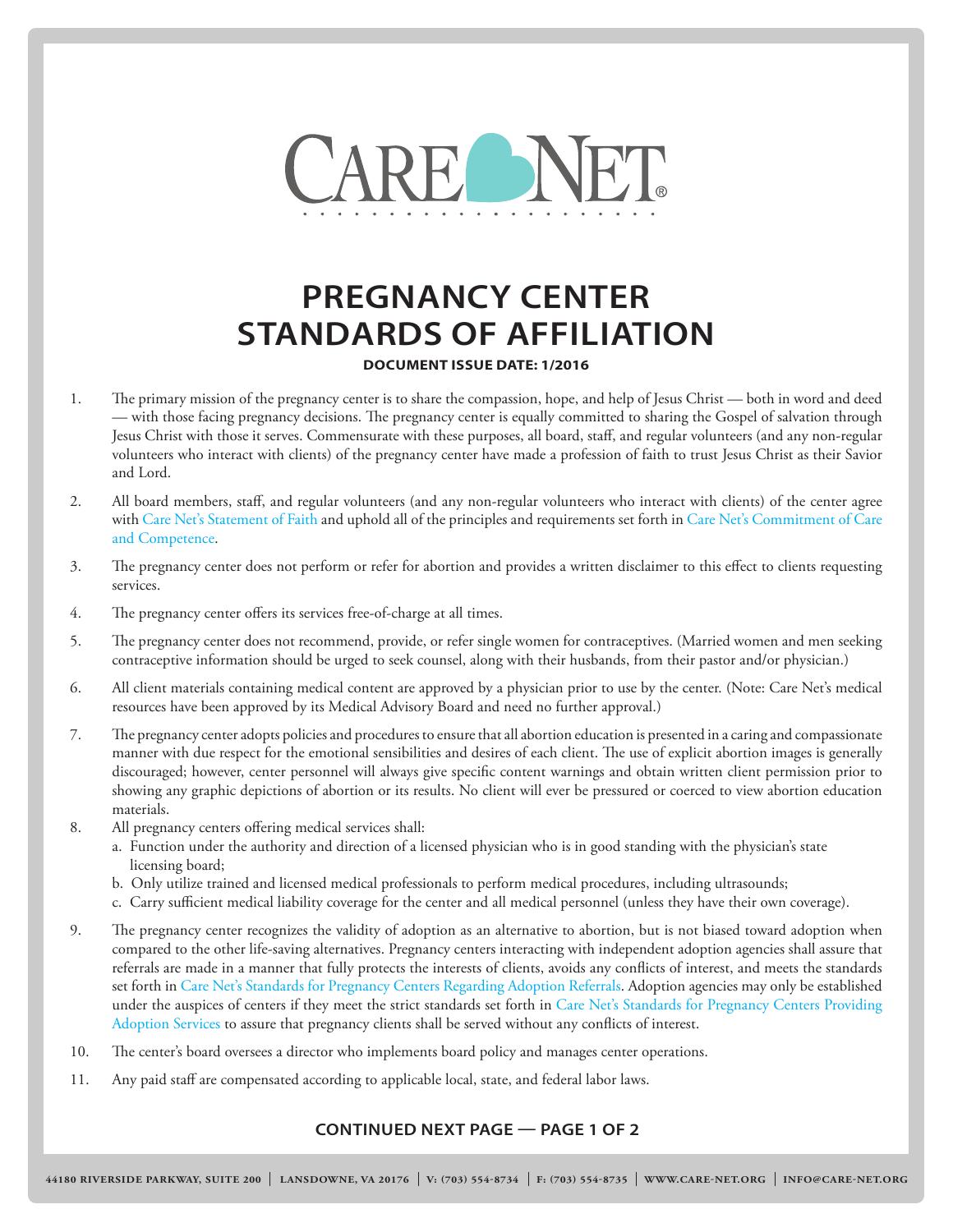

## **PREGNANCY CENTER STANDARDS OF AFFILIATION**

**DOCUMENT ISSUE DATE: 1/2016**

- 1. The primary mission of the pregnancy center is to share the compassion, hope, and help of Jesus Christ both in word and deed — with those facing pregnancy decisions. The pregnancy center is equally committed to sharing the Gospel of salvation through Jesus Christ with those it serves. Commensurate with these purposes, all board, staff, and regular volunteers (and any non-regular volunteers who interact with clients) of the pregnancy center have made a profession of faith to trust Jesus Christ as their Savior and Lord.
- 2. All board members, staff, and regular volunteers (and any non-regular volunteers who interact with clients) of the center agree with [Care Net's Statement of Faith](http://cdn2.hubspot.net/hub/367552/file-2184386775-pdf/Statement-of-Faith-2-08-C.pdf?t=1450307482134) and uphold all of the principles and requirements set forth in [Care Net's Commitment of Care](http://cdn2.hubspot.net/hub/367552/file-2184391815-pdf/Commitment-of-Care-Comp-6-09-C.pdf?t=1450307482134) [and Competence.](http://cdn2.hubspot.net/hub/367552/file-2184391815-pdf/Commitment-of-Care-Comp-6-09-C.pdf?t=1450307482134)
- 3. The pregnancy center does not perform or refer for abortion and provides a written disclaimer to this effect to clients requesting services.
- 4. The pregnancy center offers its services free-of-charge at all times.
- 5. The pregnancy center does not recommend, provide, or refer single women for contraceptives. (Married women and men seeking contraceptive information should be urged to seek counsel, along with their husbands, from their pastor and/or physician.)
- 6. All client materials containing medical content are approved by a physician prior to use by the center. (Note: Care Net's medical resources have been approved by its Medical Advisory Board and need no further approval.)
- 7. The pregnancy center adopts policies and procedures to ensure that all abortion education is presented in a caring and compassionate manner with due respect for the emotional sensibilities and desires of each client. The use of explicit abortion images is generally discouraged; however, center personnel will always give specific content warnings and obtain written client permission prior to showing any graphic depictions of abortion or its results. No client will ever be pressured or coerced to view abortion education materials.
- 8. All pregnancy centers offering medical services shall:
	- a. Function under the authority and direction of a licensed physician who is in good standing with the physician's state licensing board;
	- b. Only utilize trained and licensed medical professionals to perform medical procedures, including ultrasounds;
	- c. Carry sufficient medical liability coverage for the center and all medical personnel (unless they have their own coverage).
- 9. The pregnancy center recognizes the validity of adoption as an alternative to abortion, but is not biased toward adoption when compared to the other life-saving alternatives. Pregnancy centers interacting with independent adoption agencies shall assure that referrals are made in a manner that fully protects the interests of clients, avoids any conflicts of interest, and meets the standards set forth in [Care Net's Standards for Pregnancy Centers Regarding Adoption Referrals.](http://affiliates.care-net.org/Portals/0/STS/Docs/CN-Standards-Adoption-Color.pdf) Adoption agencies may only be established under the auspices of centers if they meet the strict standards set forth in [Care Net's Standards for Pregnancy Centers Providing](http://affiliates.care-net.org/Portals/0/STS/Docs/CN-Standards-Adoption-Color.pdf) [Adoption Services](http://affiliates.care-net.org/Portals/0/STS/Docs/CN-Standards-Adoption-Color.pdf) to assure that pregnancy clients shall be served without any conflicts of interest.
- 10. The center's board oversees a director who implements board policy and manages center operations.
- 11. Any paid staff are compensated according to applicable local, state, and federal labor laws.

## **CONTINUED NEXT PAGE — PAGE 1 OF 2**